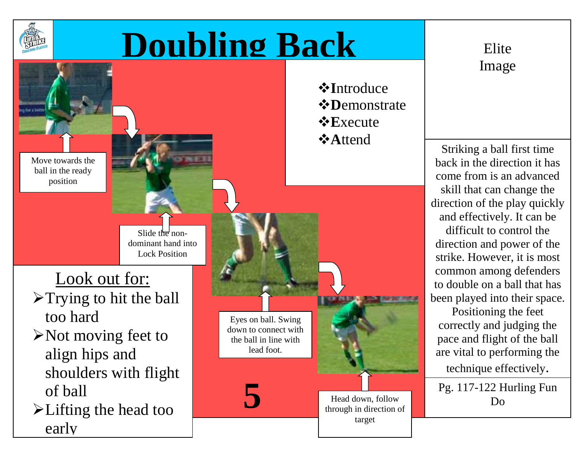

## **Doubling Back** Elite

Eyes on ball. Swing down to connect with the ball in line with lead foot.

Move towards the ball in the ready position

> Slide the nondominant hand into Lock Position

Look out for:

- >Trying to hit the ball too hard
- $\triangleright$  Not moving feet to align hips and shoulders with flight of ball
- Lifting the head too early

*<b>*∗Introduce *<b>☆Demonstrate*  $\triangle$ **E**xecute **A**ttend

Head down, follow through in direction of target

Image

Striking a ball first time back in the direction it has come from is an advanced skill that can change the direction of the play quickly and effectively. It can be difficult to control the direction and power of the strike. However, it is most common among defenders to double on a ball that has been played into their space.

Positioning the feet correctly and judging the pace and flight of the ball are vital to performing the technique effectively.

Pg. 117-122 Hurling Fun **5** Do